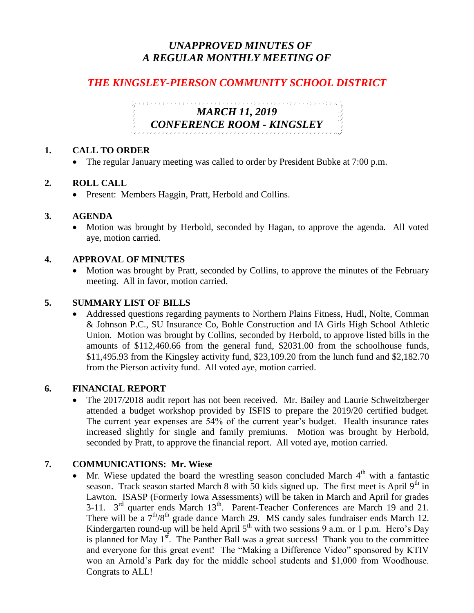# *UNAPPROVED MINUTES OF A REGULAR MONTHLY MEETING OF*

# *THE KINGSLEY-PIERSON COMMUNITY SCHOOL DISTRICT*

# *MARCH 11, 2019 CONFERENCE ROOM - KINGSLEY*

#### **1. CALL TO ORDER**

• The regular January meeting was called to order by President Bubke at 7:00 p.m.

#### **2. ROLL CALL**

• Present: Members Haggin, Pratt, Herbold and Collins.

#### **3. AGENDA**

 Motion was brought by Herbold, seconded by Hagan, to approve the agenda. All voted aye, motion carried.

#### **4. APPROVAL OF MINUTES**

 Motion was brought by Pratt, seconded by Collins, to approve the minutes of the February meeting. All in favor, motion carried.

### **5. SUMMARY LIST OF BILLS**

 Addressed questions regarding payments to Northern Plains Fitness, Hudl, Nolte, Comman & Johnson P.C., SU Insurance Co, Bohle Construction and IA Girls High School Athletic Union. Motion was brought by Collins, seconded by Herbold, to approve listed bills in the amounts of \$112,460.66 from the general fund, \$2031.00 from the schoolhouse funds, \$11,495.93 from the Kingsley activity fund, \$23,109.20 from the lunch fund and \$2,182.70 from the Pierson activity fund. All voted aye, motion carried.

#### **6. FINANCIAL REPORT**

 The 2017/2018 audit report has not been received. Mr. Bailey and Laurie Schweitzberger attended a budget workshop provided by ISFIS to prepare the 2019/20 certified budget. The current year expenses are 54% of the current year's budget. Health insurance rates increased slightly for single and family premiums. Motion was brought by Herbold, seconded by Pratt, to approve the financial report. All voted aye, motion carried.

### **7. COMMUNICATIONS: Mr. Wiese**

• Mr. Wiese updated the board the wrestling season concluded March  $4<sup>th</sup>$  with a fantastic season. Track season started March 8 with 50 kids signed up. The first meet is April  $9<sup>th</sup>$  in Lawton. ISASP (Formerly Iowa Assessments) will be taken in March and April for grades 3-11.  $3<sup>rd</sup>$  quarter ends March  $13<sup>th</sup>$ . Parent-Teacher Conferences are March 19 and 21. There will be a  $7<sup>th</sup>/8<sup>th</sup>$  grade dance March 29. MS candy sales fundraiser ends March 12. Kindergarten round-up will be held April  $5<sup>th</sup>$  with two sessions 9 a.m. or 1 p.m. Hero's Day is planned for May  $1<sup>st</sup>$ . The Panther Ball was a great success! Thank you to the committee and everyone for this great event! The "Making a Difference Video" sponsored by KTIV won an Arnold's Park day for the middle school students and \$1,000 from Woodhouse. Congrats to ALL!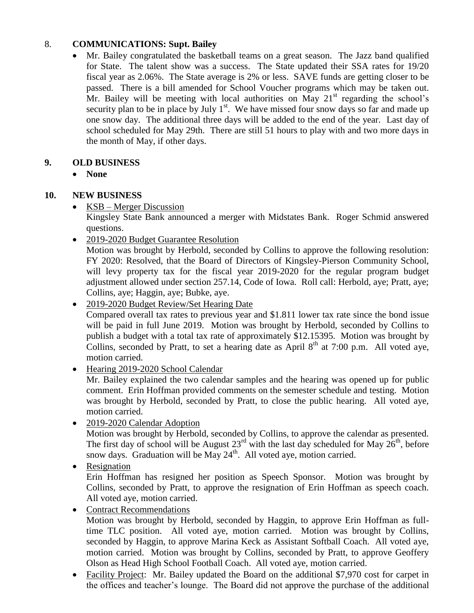# 8. **COMMUNICATIONS: Supt. Bailey**

 Mr. Bailey congratulated the basketball teams on a great season. The Jazz band qualified for State. The talent show was a success. The State updated their SSA rates for 19/20 fiscal year as 2.06%. The State average is 2% or less. SAVE funds are getting closer to be passed. There is a bill amended for School Voucher programs which may be taken out. Mr. Bailey will be meeting with local authorities on May  $21<sup>st</sup>$  regarding the school's security plan to be in place by July  $1<sup>st</sup>$ . We have missed four snow days so far and made up one snow day. The additional three days will be added to the end of the year. Last day of school scheduled for May 29th. There are still 51 hours to play with and two more days in the month of May, if other days.

# **9. OLD BUSINESS**

**None**

# **10. NEW BUSINESS**

• KSB – Merger Discussion

Kingsley State Bank announced a merger with Midstates Bank. Roger Schmid answered questions.

• 2019-2020 Budget Guarantee Resolution

Motion was brought by Herbold, seconded by Collins to approve the following resolution: FY 2020: Resolved, that the Board of Directors of Kingsley-Pierson Community School, will levy property tax for the fiscal year 2019-2020 for the regular program budget adjustment allowed under section 257.14, Code of Iowa. Roll call: Herbold, aye; Pratt, aye; Collins, aye; Haggin, aye; Bubke, aye.

• 2019-2020 Budget Review/Set Hearing Date

Compared overall tax rates to previous year and \$1.811 lower tax rate since the bond issue will be paid in full June 2019. Motion was brought by Herbold, seconded by Collins to publish a budget with a total tax rate of approximately \$12.15395. Motion was brought by Collins, seconded by Pratt, to set a hearing date as April  $8<sup>th</sup>$  at 7:00 p.m. All voted aye, motion carried.

• Hearing 2019-2020 School Calendar

Mr. Bailey explained the two calendar samples and the hearing was opened up for public comment. Erin Hoffman provided comments on the semester schedule and testing. Motion was brought by Herbold, seconded by Pratt, to close the public hearing. All voted aye, motion carried.

• 2019-2020 Calendar Adoption

Motion was brought by Herbold, seconded by Collins, to approve the calendar as presented. The first day of school will be August  $23^{rd}$  with the last day scheduled for May  $26^{th}$ , before snow days. Graduation will be May  $24<sup>th</sup>$ . All voted aye, motion carried.

• Resignation

Erin Hoffman has resigned her position as Speech Sponsor. Motion was brought by Collins, seconded by Pratt, to approve the resignation of Erin Hoffman as speech coach. All voted aye, motion carried.

• Contract Recommendations

Motion was brought by Herbold, seconded by Haggin, to approve Erin Hoffman as fulltime TLC position. All voted aye, motion carried. Motion was brought by Collins, seconded by Haggin, to approve Marina Keck as Assistant Softball Coach. All voted aye, motion carried. Motion was brought by Collins, seconded by Pratt, to approve Geoffery Olson as Head High School Football Coach. All voted aye, motion carried.

• Facility Project: Mr. Bailey updated the Board on the additional \$7,970 cost for carpet in the offices and teacher's lounge. The Board did not approve the purchase of the additional